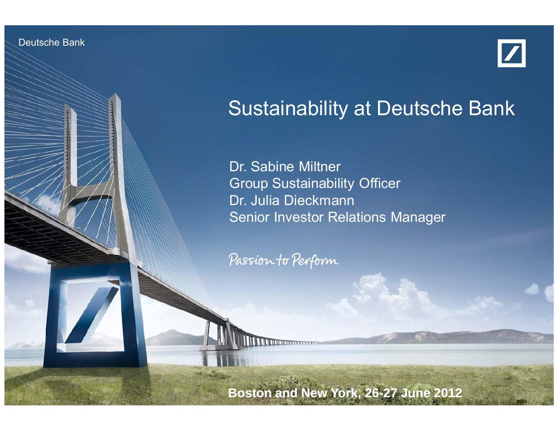Deutsche Bank

Investor Relations 06/2012



# Sustainability at Deutsche Bank

Dr. Sabine Miltner Group Sustainability Officer Dr. Julia Dieckmann Senior Investor Relations Manager

Passion to Perform

Sustainability at Deutsche Bank Dr. Milton, Dr. Dieckmann, Dr. Die Erstehnung

**Boston and New York, 26 26-27 June 2012 27**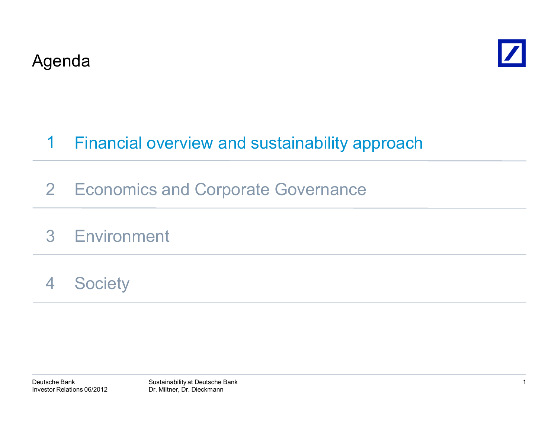



#### Financial overview and sustainability approach 1

- 2 Economics and Corporate Governance
- 3Environment
- 4**Society**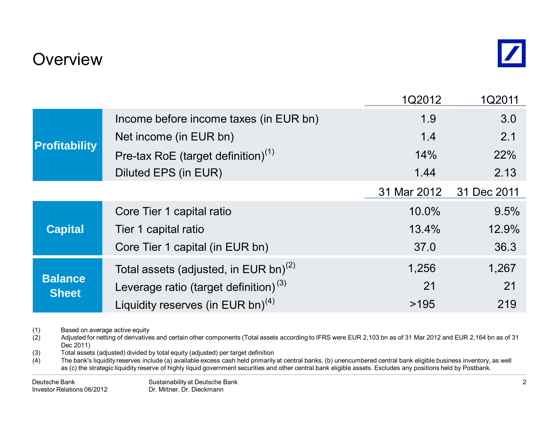### **Overview**

|                                |                                                   | 1Q2012      | 1Q2011      |
|--------------------------------|---------------------------------------------------|-------------|-------------|
| <b>Profitability</b>           | Income before income taxes (in EUR bn)            | 1.9         | 3.0         |
|                                | Net income (in EUR bn)                            | 1.4         | 2.1         |
|                                | Pre-tax RoE (target definition) $(1)$             | 14%         | 22%         |
|                                | Diluted EPS (in EUR)                              | 1.44        | 2.13        |
|                                |                                                   | 31 Mar 2012 | 31 Dec 2011 |
| <b>Capital</b>                 | Core Tier 1 capital ratio                         | 10.0%       | 9.5%        |
|                                | Tier 1 capital ratio                              | 13.4%       | 12.9%       |
|                                | Core Tier 1 capital (in EUR bn)                   | 37.0        | 36.3        |
|                                | Total assets (adjusted, in EUR bn) <sup>(2)</sup> | 1,256       | 1,267       |
| <b>Balance</b><br><b>Sheet</b> | Leverage ratio (target definition) <sup>(3)</sup> | 21          | 21          |
|                                | Liquidity reserves (in EUR bn) <sup>(4)</sup>     | >195        | 219         |

(1) Based on average active equity<br>(2) Adjusted for netting of derivative

Adjusted for netting of derivatives and certain other components (Total assets according to IFRS were EUR 2,103 bn as of 31 Mar 2012 and EUR 2,164 bn as of 31 Dec 2011)

(3) Total assets (adjusted) divided by total equity (adjusted) per target definition (4) The bank's liquidity reserves include (a) available excess cash held primarily

The bank's liquidity reserves include (a) available excess cash held primarily at central banks, (b) unencumbered central bank eligible business inventory, as well as (c) the strategic liquidity reserve of highly liquid government securities and other central bank eligible assets. Excludes any positions held by Postbank.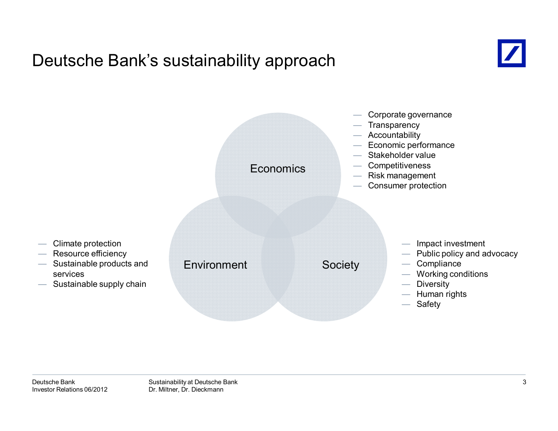### Deutsche Bank's sustainability approach



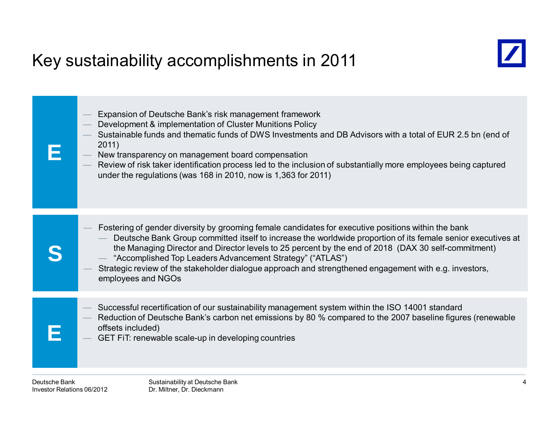# Key sustainability accomplishments in 2011





- Development & implementation of Cluster Munitions Policy
- Sustainable funds and thematic funds of DWS Investments and DB Advisors with a total of EUR 2.5 bn (end of 2011)
- New transparency on management board compensation
- Review of risk taker identification process led to the inclusion of substantially more employees being captured under the regulations (was 168 in 2010, now is 1,363 for 2011)

|   | Fostering of gender diversity by grooming female candidates for executive positions within the bank<br>Deutsche Bank Group committed itself to increase the worldwide proportion of its female senior executives at<br>the Managing Director and Director levels to 25 percent by the end of 2018 (DAX 30 self-commitment)<br>- "Accomplished Top Leaders Advancement Strategy" ("ATLAS")<br>Strategic review of the stakeholder dialogue approach and strengthened engagement with e.g. investors,<br>employees and NGOs |
|---|---------------------------------------------------------------------------------------------------------------------------------------------------------------------------------------------------------------------------------------------------------------------------------------------------------------------------------------------------------------------------------------------------------------------------------------------------------------------------------------------------------------------------|
| H | Successful recertification of our sustainability management system within the ISO 14001 standard<br>Reduction of Deutsche Bank's carbon net emissions by 80 % compared to the 2007 baseline figures (renewable<br>$\overline{\phantom{a}}$<br>offsets included)<br>- GET FIT: renewable scale-up in developing countries                                                                                                                                                                                                  |

**E**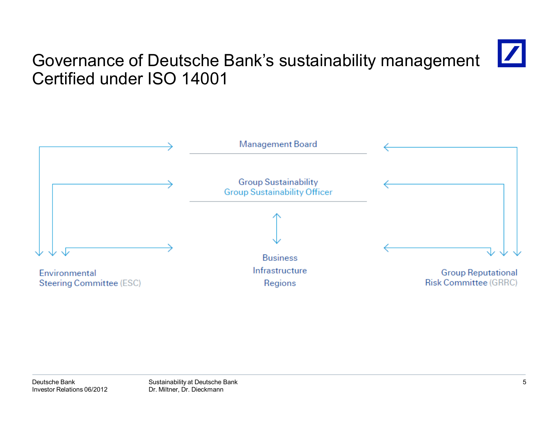# Governance of Deutsche Bank's sustainability management Certified under ISO 14001

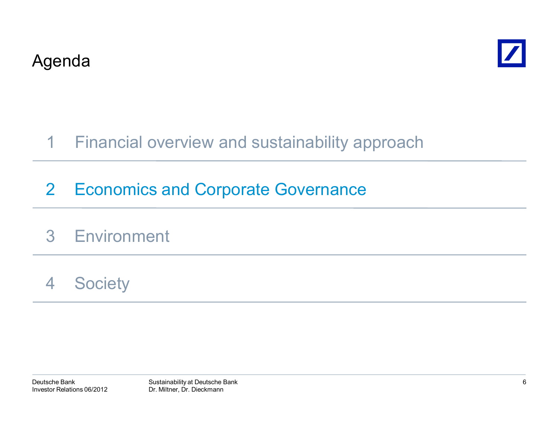



#### Financial overview and sustainability approach 1

# 2 Economics and Corporate Governance

# 3 Environment

#### 4**Society**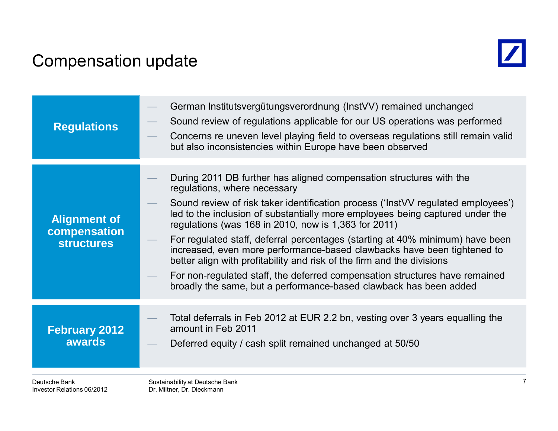### Compensation update

Investor Relations 06/2012



| <b>Regulations</b>                                       | Sound review of regulations applicable for our US operations was performed<br>Concerns re uneven level playing field to overseas regulations still remain valid<br>but also inconsistencies within Europe have been observed                                                                                                                                                                                                                                                                                                                                                                                                                                                                                               |
|----------------------------------------------------------|----------------------------------------------------------------------------------------------------------------------------------------------------------------------------------------------------------------------------------------------------------------------------------------------------------------------------------------------------------------------------------------------------------------------------------------------------------------------------------------------------------------------------------------------------------------------------------------------------------------------------------------------------------------------------------------------------------------------------|
| <b>Alignment of</b><br>compensation<br><b>structures</b> | During 2011 DB further has aligned compensation structures with the<br>regulations, where necessary<br>Sound review of risk taker identification process ('InstVV regulated employees')<br>led to the inclusion of substantially more employees being captured under the<br>regulations (was 168 in 2010, now is 1,363 for 2011)<br>For regulated staff, deferral percentages (starting at 40% minimum) have been<br>increased, even more performance-based clawbacks have been tightened to<br>better align with profitability and risk of the firm and the divisions<br>For non-regulated staff, the deferred compensation structures have remained<br>broadly the same, but a performance-based clawback has been added |
| <b>February 2012</b><br><b>awards</b><br>Deutsche Bank   | Total deferrals in Feb 2012 at EUR 2.2 bn, vesting over 3 years equalling the<br>amount in Feb 2011<br>Deferred equity / cash split remained unchanged at 50/50<br>Sustainability at Deutsche Bank                                                                                                                                                                                                                                                                                                                                                                                                                                                                                                                         |

Dr. Miltner, Dr. Dieckmann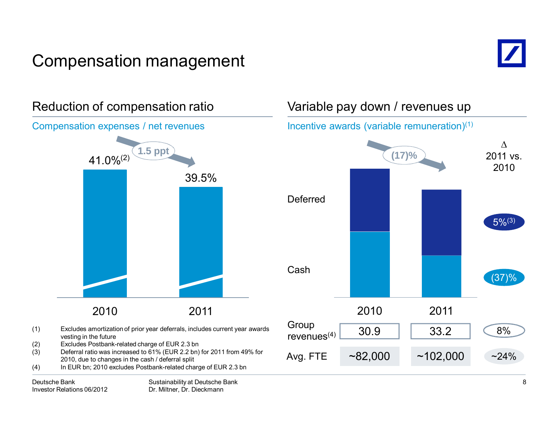# Compensation management







Variable pay down / revenues up

Incentive awards (variable remuneration)(1)

Sustainability at Deutsche Bank Dr. Miltner, Dr. Dieckmann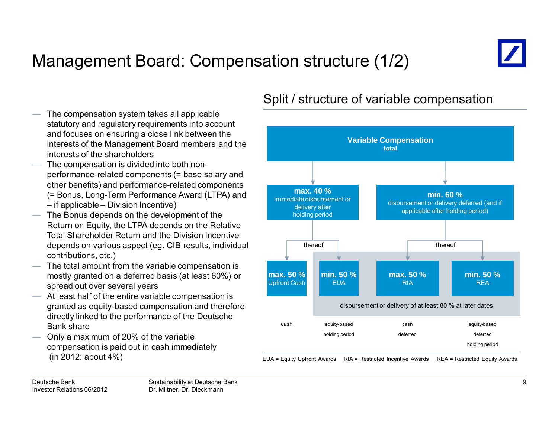# Management Board: Compensation structure (1/2)



 The compensation system takes all applicable statutory and regulatory requirements into account and focuses on ensuring a close link between the interests of the Management Board members and the interests of the shareholders

- The compensation is divided into both nonperformance-related components (= base salary and other benefits) and performance-related components (= Bonus, Long-Term Performance Award (LTPA) and – if applicable – Division Incentive)
- The Bonus depends on the development of the Return on Equity, the LTPA depends on the Relative Total Shareholder Return and the Division Incentive depends on various aspect (eg. CIB results, individual contributions, etc.)
- The total amount from the variable compensation is mostly granted on a deferred basis (at least 60%) or spread out over several years
- At least half of the entire variable compensation is granted as equity-based compensation and therefore directly linked to the performance of the Deutsche Bank share
- Only a maximum of 20% of the variable compensation is paid out in cash immediately (in 2012: about 4%)

#### **Variable Compensation totalmax. 50 %**Upfront Cash **min. 50 %EUA max. 50 %**RIA**min. 50 %**REAequity-based deferredcashdeferred**max. 40 %**immediate disbursement or delivery after holding period **min. 60 %**disbursement or delivery deferred (and if applicable after holding period) equity-based holding period holding period cashthereofdisbursement or delivery of at least 80 % at later dates thereof

EUA = Equity Upfront Awards RIA = Restricted Incentive Awards REA = Restricted Equity Awards

### Split / structure of variable compensation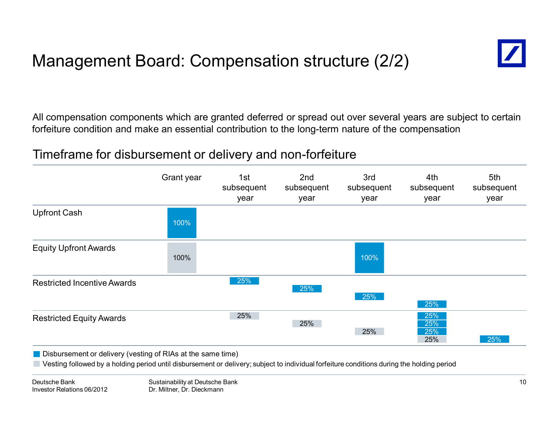# Management Board: Compensation structure (2/2)



All compensation components which are granted deferred or spread out over several years are subject to certain forfeiture condition and make an essential contribution to the long-term nature of the compensation

### Timeframe for disbursement or delivery and non-forfeiture



**Disbursement or delivery (vesting of RIAs at the same time)** 

Vesting followed by a holding period until disbursement or delivery; subject to individual forfeiture conditions during the holding period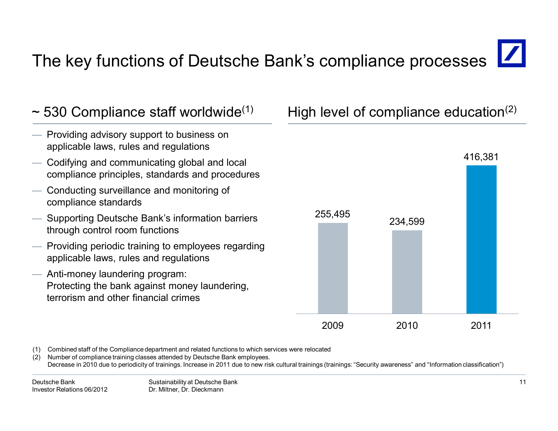# The key functions of Deutsche Bank's compliance processes



<sup>(1)</sup> Combined staff of the Compliance department and related functions to which services were relocated

Number of compliance training classes attended by Deutsche Bank employees. Decrease in 2010 due to periodicity of trainings. Increase in 2011 due to new risk cultural trainings (trainings: "Security awareness" and "Information classification")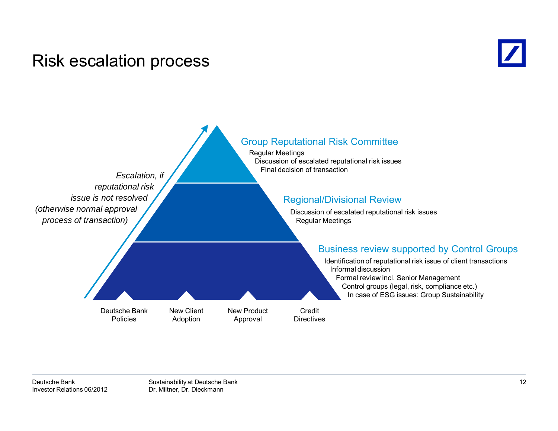### Risk escalation process



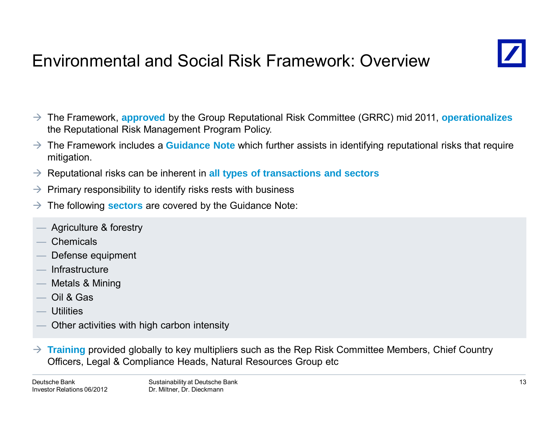# Environmental and Social Risk Framework: Overview



- The Framework, **approved** by the Group Reputational Risk Committee (GRRC) mid 2011, **operationalizes** the Reputational Risk Management Program Policy.
- $\rightarrow$  The Framework includes a **Guidance Note** which further assists in identifying reputational risks that require mitigation.
- → Reputational risks can be inherent in all types of transactions and sectors
- $\rightarrow$ Primary responsibility to identify risks rests with business
- $\rightarrow$ The following **sectors** are covered by the Guidance Note:
- Agriculture & forestry
- **Chemicals**
- Defense equipment
- **Infrastructure**
- Metals & Mining
- Oil & Gas
- **Utilities**
- Other activities with high carbon intensity
- $\rightarrow$  **Training** provided globally to key multipliers such as the Rep Risk Committee Members, Chief Country Officers, Legal & Compliance Heads, Natural Resources Group etc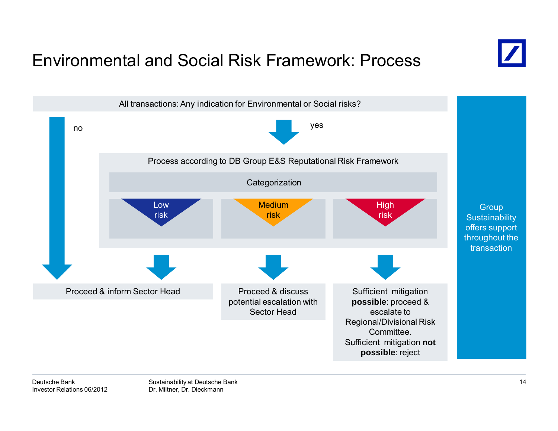## Environmental and Social Risk Framework: Process



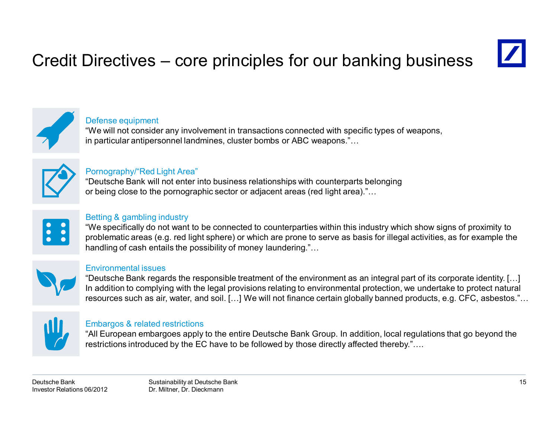# Credit Directives – core principles for our banking business





#### Defense equipment

"We will not consider any involvement in transactions connected with specific types of weapons, in particular antipersonnel landmines, cluster bombs or ABC weapons."…



#### Pornography/"Red Light Area"

"Deutsche Bank will not enter into business relationships with counterparts belonging or being close to the pornographic sector or adjacent areas (red light area)."…



#### Betting & gambling industry

"We specifically do not want to be connected to counterparties within this industry which show signs of proximity to problematic areas (e.g. red light sphere) or which are prone to serve as basis for illegal activities, as for example the handling of cash entails the possibility of money laundering."...



#### Environmental issues

"Deutsche Bank regards the responsible treatment of the environment as an integral part of its corporate identity. […] In addition to complying with the legal provisions relating to environmental protection, we undertake to protect natural resources such as air, water, and soil. […] We will not finance certain globally banned products, e.g. CFC, asbestos."…



#### Embargos & related restrictions

"All European embargoes apply to the entire Deutsche Bank Group. In addition, local regulations that go beyond the restrictions introduced by the EC have to be followed by those directly affected thereby."....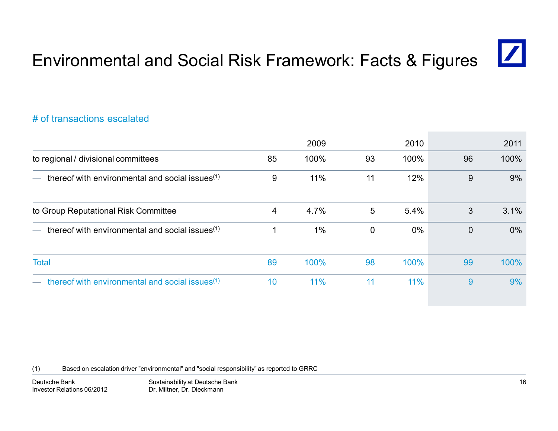### Environmental and Social Risk Framework: Facts & Figures

#### # of transactions escalated

|                                                             |    | 2009 |             | 2010  |                | 2011  |
|-------------------------------------------------------------|----|------|-------------|-------|----------------|-------|
| to regional / divisional committees                         | 85 | 100% | 93          | 100%  | 96             | 100%  |
| thereof with environmental and social issues $(1)$          | 9  | 11%  | 11          | 12%   | 9              | 9%    |
| to Group Reputational Risk Committee                        | 4  | 4.7% | 5           | 5.4%  | 3              | 3.1%  |
| thereof with environmental and social issues $(1)$          |    | 1%   | $\mathbf 0$ | $0\%$ | $\overline{0}$ | $0\%$ |
| <b>Total</b>                                                | 89 | 100% | 98          | 100%  | 99             | 100%  |
| thereof with environmental and social issues <sup>(1)</sup> | 10 | 11%  | 11          | 11%   | 9              | 9%    |

(1) Based on escalation driver "environmental" and "social responsibility" as reported to GRRC

 $\vert\angle\vert$ 

Sustainability at Deutsche Bank Dr. Miltner, Dr. Dieckmann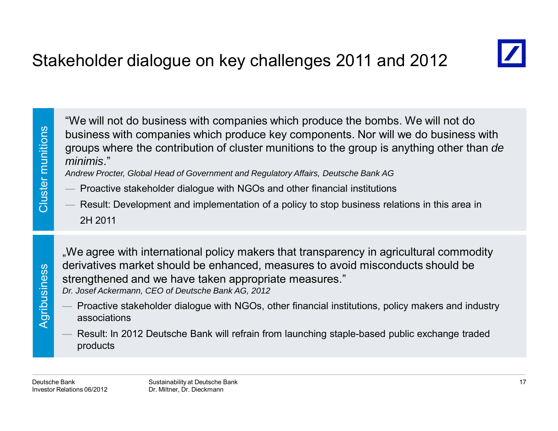

"We will not do business with companies which produce the bombs. We will not do<br>business with companies which produce key components. Nor will we do business with<br>groups where the contribution of cluster munitions to the g

- 
- 2H 2011

.We agree with international policy makers that transparency in agricultural commodity derivatives market should be enhanced, measures to avoid misconducts should be strengthened and we have taken appropriate measures." *Dr. Josef Ackermann, CEO of Deutsche Bank AG, 2012*

- Proactive stakeholder dialogue with NGOs, other financial institutions, policy makers and industry associations
- Result: In 2012 Deutsche Bank will refrain from launching staple-based public exchange traded products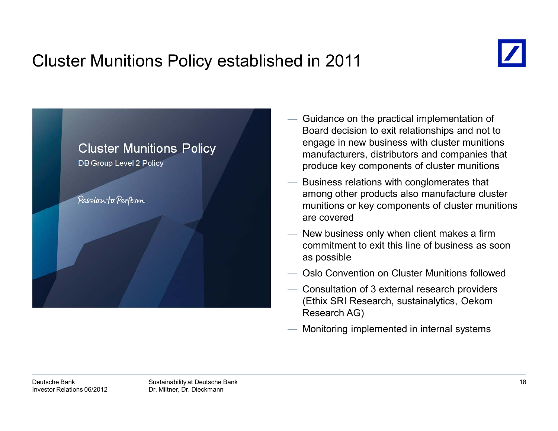# Cluster Munitions Policy established in 2011





- Guidance on the practical implementation of Board decision to exit relationships and not to engage in new business with cluster munitions manufacturers, distributors and companies that produce key components of cluster munitions
- Business relations with conglomerates that among other products also manufacture cluster munitions or key components of cluster munitions are covered
- New business only when client makes a firm commitment to exit this line of business as soon as possible
- Oslo Convention on Cluster Munitions followed
- Consultation of 3 external research providers (Ethix SRI Research, sustainalytics, Oekom Research AG)
- Monitoring implemented in internal systems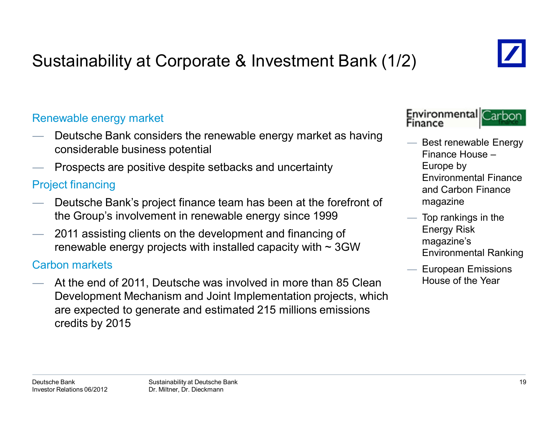# Sustainability at Corporate & Investment Bank (1/2)

### Renewable energy market

- Deutsche Bank considers the renewable energy market as having considerable business potential
- Prospects are positive despite setbacks and uncertainty

### Project financing

- Deutsche Bank's project finance team has been at the forefront of the Group's involvement in renewable energy since 1999
- 2011 assisting clients on the development and financing of renewable energy projects with installed capacity with  $\sim$  3GW

#### Carbon markets

 At the end of 2011, Deutsche was involved in more than 85 Clean Development Mechanism and Joint Implementation projects, which are expected to generate and estimated 215 millions emissions credits by 2015



- Best renewable Energy Finance House –Europe by Environmental Finance and Carbon Finance magazine
- $-$  Top rankings in the Energy Risk magazine's Environmental Ranking
	- European Emissions House of the Year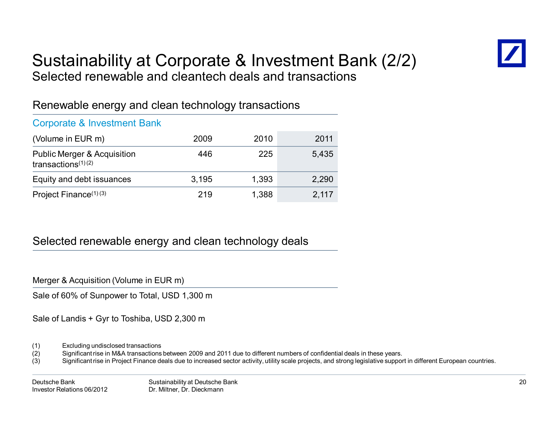

### Sustainability at Corporate & Investment Bank (2/2) Selected renewable and cleantech deals and transactions

### Renewable energy and clean technology transactions

#### Corporate & Investment Bank

| (Volume in EUR m)                                               | 2009  | 2010  | 2011  |
|-----------------------------------------------------------------|-------|-------|-------|
| <b>Public Merger &amp; Acquisition</b><br>transactions $(1)(2)$ | 446   | 225   | 5.435 |
| Equity and debt issuances                                       | 3.195 | 1,393 | 2,290 |
| Project Finance <sup>(1)(3)</sup>                               | 219   | 1,388 | 2,117 |

### Selected renewable energy and clean technology deals

Merger & Acquisition (Volume in EUR m)

Sale of 60% of Sunpower to Total, USD 1,300 m

Sale of Landis + Gyr to Toshiba, USD 2,300 m

- (1) Excluding undisclosed transactions
- (2) Significant rise in M&A transactions between 2009 and 2011 due to different numbers of confidential deals in these years.
- (3) Significant rise in Project Finance deals due to increased sector activity, utility scale projects, and strong legislative support in different European countries.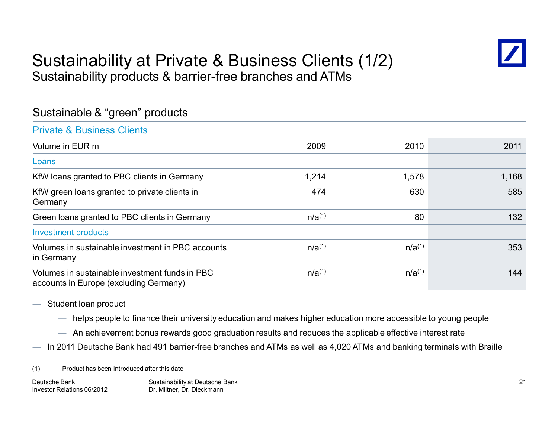### Sustainability at Private & Business Clients (1/2) Sustainability products & barrier-free branches and ATMs



### Sustainable & "green" products

#### Private & Business Clients

| Volume in EUR m                                                                          | 2009        | 2010        | 2011  |
|------------------------------------------------------------------------------------------|-------------|-------------|-------|
| Loans                                                                                    |             |             |       |
| KfW loans granted to PBC clients in Germany                                              | 1,214       | 1,578       | 1,168 |
| KfW green loans granted to private clients in<br>Germany                                 | 474         | 630         | 585   |
| Green loans granted to PBC clients in Germany                                            | $n/a^{(1)}$ | 80          | 132   |
| <b>Investment products</b>                                                               |             |             |       |
| Volumes in sustainable investment in PBC accounts<br>in Germany                          | $n/a^{(1)}$ | $n/a^{(1)}$ | 353   |
| Volumes in sustainable investment funds in PBC<br>accounts in Europe (excluding Germany) | $n/a^{(1)}$ | $n/a^{(1)}$ | 144   |

- Student loan product
	- helps people to finance their university education and makes higher education more accessible to young people
	- $-$  An achievement bonus rewards good graduation results and reduces the applicable effective interest rate
- In 2011 Deutsche Bank had 491 barrier-free branches and ATMs as well as 4,020 ATMs and banking terminals with Braille

(1) Product has been introduced after this date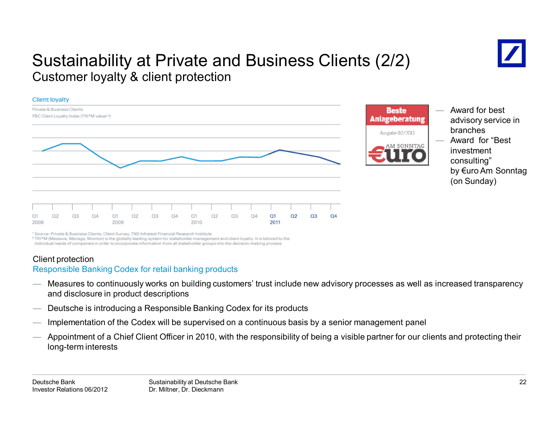### Sustainability at Private and Business Clients (2/2) Customer loyalty & client protection





- Award for best advisory service in branches Award for "Best investment
	- consulting" by €uro Am Sonntag (on Sunday)

<sup>1</sup> Source: Private & Business Clients, Client Survey, TNS Infratest Financial Research Institute

<sup>2</sup> TRI\*M (Measure, Manage, Monitor) is the globally leading system for stakeholder management and client loyalty. It is tailored to the individual needs of companies in order to incorporate information from all stakeholder groups into the decision-making process

#### Client protection

#### Responsible Banking Codex for retail banking products

- Measures to continuously works on building customers' trust include new advisory processes as well as increased transparency and disclosure in product descriptions
- Deutsche is introducing a Responsible Banking Codex for its products
- Implementation of the Codex will be supervised on a continuous basis by a senior management panel
- Appointment of a Chief Client Officer in 2010, with the responsibility of being a visible partner for our clients and protecting their long-term interests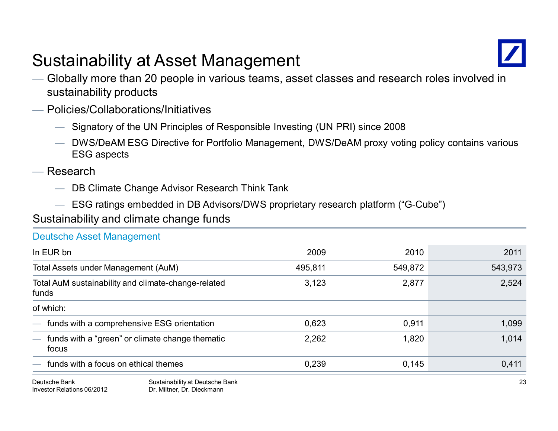# Sustainability at Asset Management



- Globally more than 20 people in various teams, asset classes and research roles involved in sustainability products
- Policies/Collaborations/Initiatives
	- Signatory of the UN Principles of Responsible Investing (UN PRI) since 2008
	- DWS/DeAM ESG Directive for Portfolio Management, DWS/DeAM proxy voting policy contains various ESG aspects
- Research

Investor Relations 06/2012

— DB Climate Change Advisor Research Think Tank

Dr. Miltner, Dr. Dieckmann

— ESG ratings embedded in DB Advisors/DWS proprietary research platform ("G-Cube")

Sustainability and climate change funds

Deutsche Asset Management

| <b>DEUISUIE ASSEL MANAGHIEIR</b>                                                     |                                              |         |         |         |
|--------------------------------------------------------------------------------------|----------------------------------------------|---------|---------|---------|
| In EUR bn                                                                            |                                              | 2009    | 2010    | 2011    |
| Total Assets under Management (AuM)                                                  |                                              | 495,811 | 549,872 | 543,973 |
| Total AuM sustainability and climate-change-related<br>funds                         |                                              | 3,123   | 2,877   | 2,524   |
| of which:                                                                            |                                              |         |         |         |
|                                                                                      | - funds with a comprehensive ESG orientation | 0,623   | 0,911   | 1,099   |
| funds with a "green" or climate change thematic<br>$\overline{\phantom{a}}$<br>focus |                                              | 2,262   | 1,820   | 1,014   |
| $\overline{\phantom{a}}$                                                             | funds with a focus on ethical themes         | 0,239   | 0,145   | 0.411   |
| Deutsche Bank                                                                        | Sustainability at Deutsche Bank              |         |         | 23      |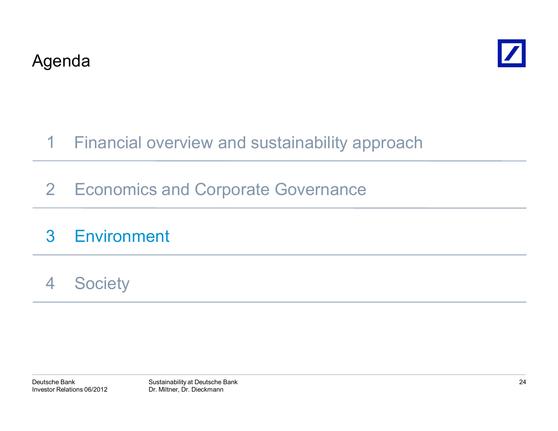



#### Financial overview and sustainability approach 1

2 Economics and Corporate Governance

#### 3**Environment**

4**Society**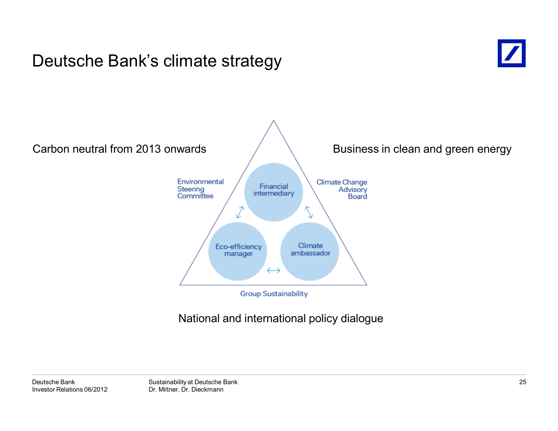### Deutsche Bank's climate strategy





### National and international policy dialogue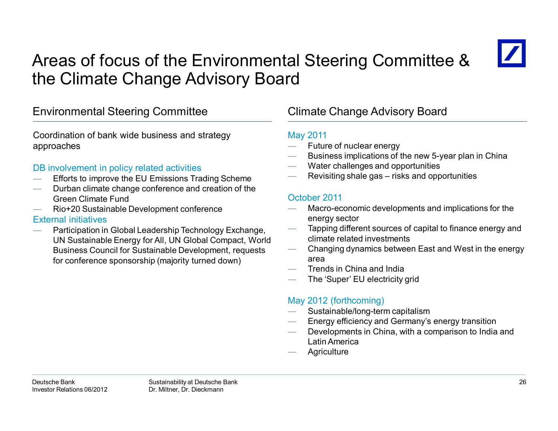# Areas of focus of the Environmental Steering Committee & the Climate Change Advisory Board



### Environmental Steering Committee Climate Change Advisory Board

Coordination of bank wide business and strategy approaches

#### DB involvement in policy related activities

- Efforts to improve the EU Emissions Trading Scheme
- Durban climate change conference and creation of the Green Climate Fund
- Rio+20 Sustainable Development conference

#### External initiatives

 Participation in Global Leadership Technology Exchange, UN Sustainable Energy for All, UN Global Compact, World Business Council for Sustainable Development, requests for conference sponsorship (majority turned down)

#### May 2011

- Future of nuclear energy
- Business implications of the new 5-year plan in China
- Water challenges and opportunities
- Revisiting shale gas risks and opportunities

#### October 2011

- Macro-economic developments and implications for the energy sector
- Tapping different sources of capital to finance energy and climate related investments
- Changing dynamics between East and West in the energy area
- Trends in China and India
- The 'Super' EU electricity grid

#### May 2012 (forthcoming)

- Sustainable/long-term capitalism
- Energy efficiency and Germany's energy transition
- Developments in China, with a comparison to India and Latin America
- **Agriculture**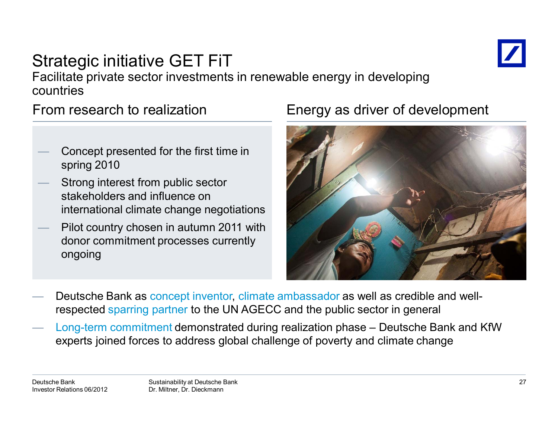

### Strategic initiative GET FiT Facilitate private sector investments in renewable energy in developing countries

From research to realization

- Concept presented for the first time in spring 2010
- Strong interest from public sector stakeholders and influence on international climate change negotiations
- Pilot country chosen in autumn 2011 with donor commitment processes currently ongoing

### Energy as driver of development



- Deutsche Bank as concept inventor, climate ambassador as well as credible and wellrespected sparring partner to the UN AGECC and the public sector in general
- Long-term commitment demonstrated during realization phase Deutsche Bank and KfW experts joined forces to address global challenge of poverty and climate change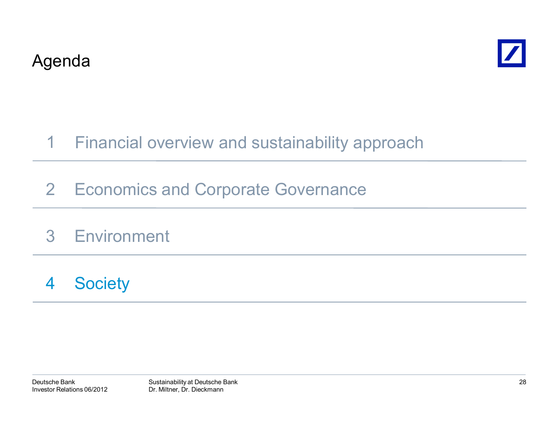



#### Financial overview and sustainability approach 1

- 2 Economics and Corporate Governance
- 3Environment
- 4**Society**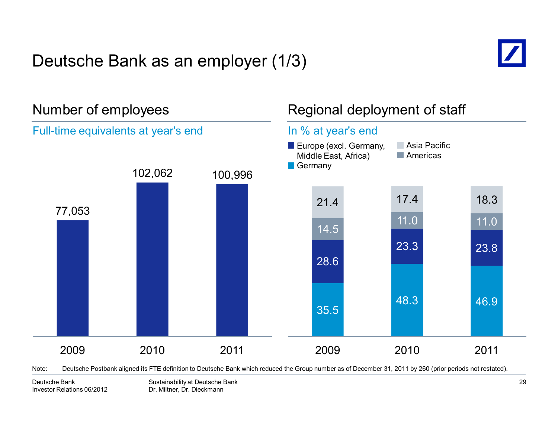# Deutsche Bank as an employer (1/3)





Note: Deutsche Postbank aligned its FTE definition to Deutsche Bank which reduced the Group number as of December 31, 2011 by 260 (prior periods not restated).

Sustainability at Deutsche Bank Dr. Miltner, Dr. Dieckmann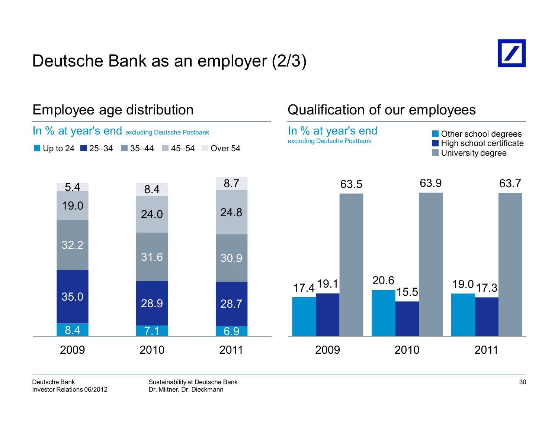## Deutsche Bank as an employer (2/3)





Sustainability at Deutsche Bank Dr. Miltner, Dr. Dieckmann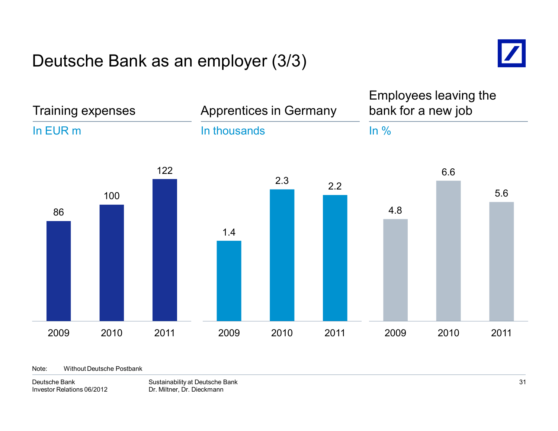### Deutsche Bank as an employer (3/3)



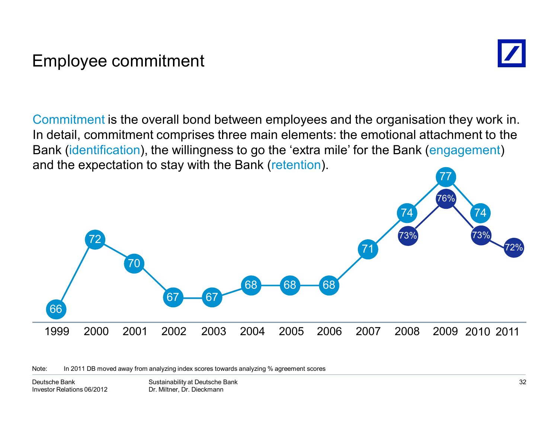### Employee commitment



Commitment is the overall bond between employees and the organisation they work in. In detail, commitment comprises three main elements: the emotional attachment to the Bank (identification), the willingness to go the 'extra mile' for the Bank (engagement) and the expectation to stay with the Bank (retention).



Note: In 2011 DB moved away from analyzing index scores towards analyzing % agreement scores

Sustainability at Deutsche Bank Dr. Miltner, Dr. Dieckmann Deutsche BankInvestor Relations 06/2012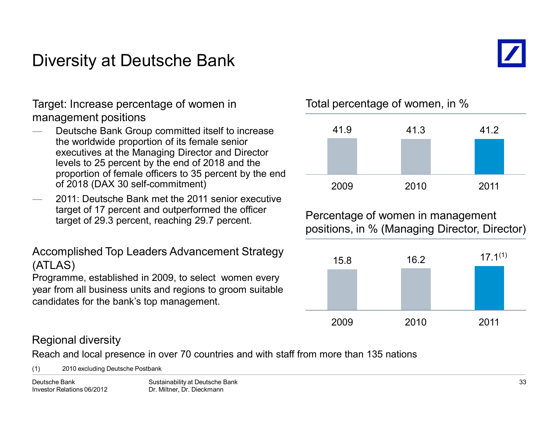### Diversity at Deutsche Bank



Target: Increase percentage of women in management positions

- Deutsche Bank Group committed itself to increase the worldwide proportion of its female senior executives at the Managing Director and Director levels to 25 percent by the end of 2018 and the proportion of female officers to 35 percent by the end of 2018 (DAX 30 self-commitment)
- 2011: Deutsche Bank met the 2011 senior executive target of 17 percent and outperformed the officer target of 29.3 percent, reaching 29.7 percent.

Accomplished Top Leaders Advancement Strategy (ATLAS)

Programme, established in 2009, to select women every year from all business units and regions to groom suitable candidates for the bank's top management.

Total percentage of women, in %



Percentage of women in management positions, in % (Managing Director, Director)



### Regional diversity

Reach and local presence in over 70 countries and with staff from more than 135 nations

(1) 2010 excluding Deutsche Postbank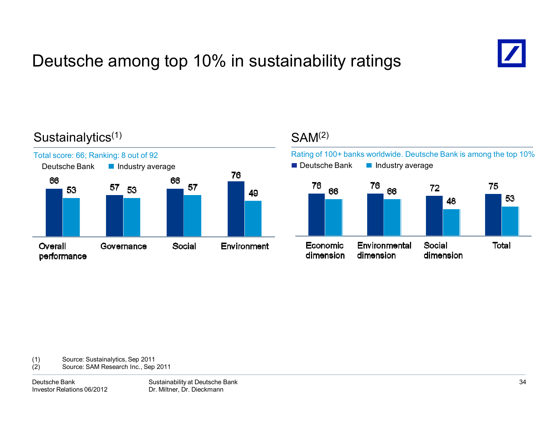# Deutsche among top 10% in sustainability ratings



### Sustainalytics<sup>(1)</sup>



### $SAM<sup>(2)</sup>$



(1) Source: Sustainalytics, Sep 2011

(2) Source: SAM Research Inc., Sep 2011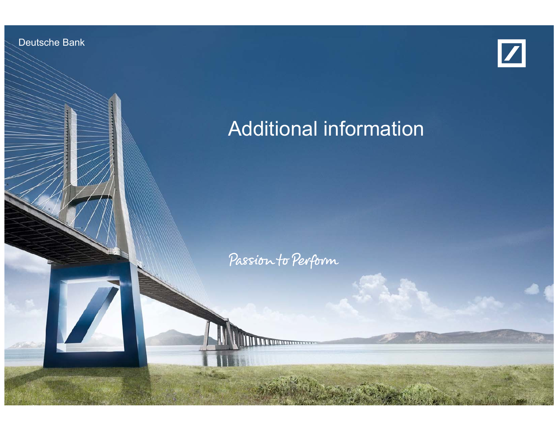Deutsche Bank

Investor Relations 06/2012



# Additional information

Passion to Perform

Sustainability at Deutsche Bank Dr. Milton, Dr. Dieckmann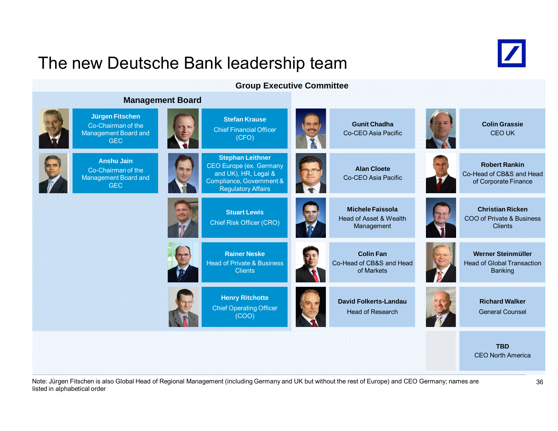### The new Deutsche Bank leadership team



#### **Group Executive Committee**

#### **Management Board**

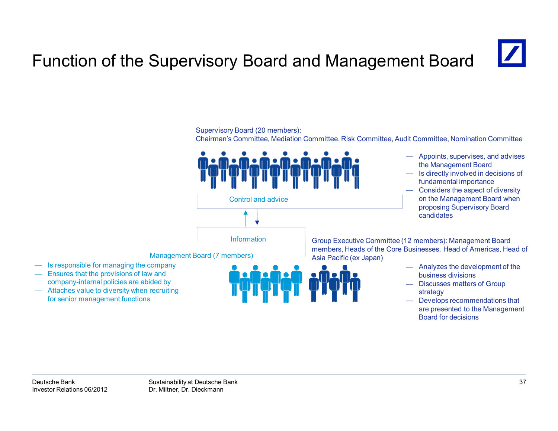# Function of the Supervisory Board and Management Board

Supervisory Board (20 members):



for senior management functions

— Develops recommendations that are presented to the Management

Board for decisions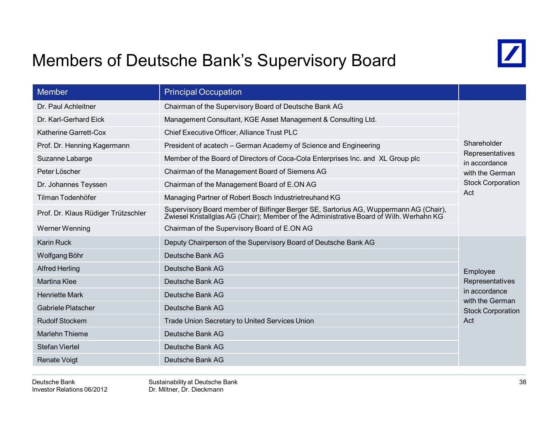### Members of Deutsche Bank's Supervisory Board



| <b>Member</b>                                                                                                                                                                                                           | <b>Principal Occupation</b>                                                     |                                                              |
|-------------------------------------------------------------------------------------------------------------------------------------------------------------------------------------------------------------------------|---------------------------------------------------------------------------------|--------------------------------------------------------------|
| Dr. Paul Achleitner                                                                                                                                                                                                     | Chairman of the Supervisory Board of Deutsche Bank AG                           |                                                              |
| Dr. Karl-Gerhard Eick                                                                                                                                                                                                   | Management Consultant, KGE Asset Management & Consulting Ltd.                   |                                                              |
| Katherine Garrett-Cox                                                                                                                                                                                                   | Chief Executive Officer, Alliance Trust PLC                                     | Shareholder<br>Representatives<br>in accordance              |
| Prof. Dr. Henning Kagermann                                                                                                                                                                                             | President of acatech - German Academy of Science and Engineering                |                                                              |
| Suzanne Labarge                                                                                                                                                                                                         | Member of the Board of Directors of Coca-Cola Enterprises Inc. and XL Group plc |                                                              |
| Peter Löscher<br>Chairman of the Management Board of Siemens AG                                                                                                                                                         |                                                                                 | with the German                                              |
| Chairman of the Management Board of E.ON AG<br>Dr. Johannes Teyssen                                                                                                                                                     |                                                                                 | <b>Stock Corporation</b>                                     |
| Tilman Todenhöfer<br>Managing Partner of Robert Bosch Industrietreuhand KG                                                                                                                                              |                                                                                 | Act                                                          |
| Supervisory Board member of Bilfinger Berger SE, Sartorius AG, Wuppermann AG (Chair),<br>Prof. Dr. Klaus Rüdiger Trützschler<br>Zwiesel Kristallglas AG (Chair); Member of the Administrative Board of Wilh. Werhahn KG |                                                                                 |                                                              |
| Werner Wenning                                                                                                                                                                                                          | Chairman of the Supervisory Board of E.ON AG                                    |                                                              |
| <b>Karin Ruck</b>                                                                                                                                                                                                       | Deputy Chairperson of the Supervisory Board of Deutsche Bank AG                 |                                                              |
| Wolfgang Böhr                                                                                                                                                                                                           | Deutsche Bank AG                                                                |                                                              |
| <b>Alfred Herling</b>                                                                                                                                                                                                   | Deutsche Bank AG                                                                | Employee                                                     |
| <b>Martina Klee</b>                                                                                                                                                                                                     | Deutsche Bank AG                                                                | Representatives                                              |
| <b>Henriette Mark</b>                                                                                                                                                                                                   | Deutsche Bank AG                                                                | in accordance<br>with the German<br><b>Stock Corporation</b> |
| <b>Gabriele Platscher</b>                                                                                                                                                                                               | Deutsche Bank AG                                                                |                                                              |
| <b>Rudolf Stockem</b><br>Trade Union Secretary to United Services Union                                                                                                                                                 |                                                                                 | Act                                                          |
| <b>Marlehn Thieme</b>                                                                                                                                                                                                   | Deutsche Bank AG                                                                |                                                              |
| <b>Stefan Viertel</b>                                                                                                                                                                                                   | Deutsche Bank AG                                                                |                                                              |
| <b>Renate Voigt</b>                                                                                                                                                                                                     | Deutsche Bank AG                                                                |                                                              |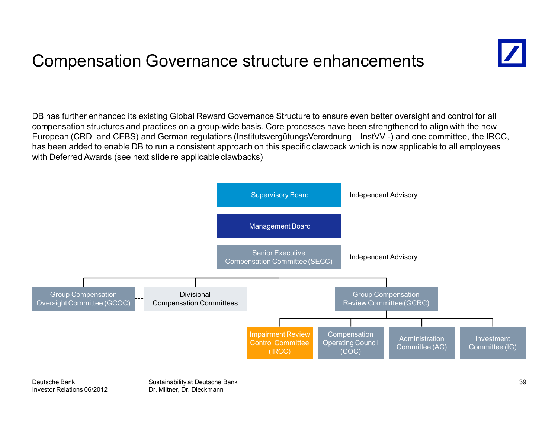### Compensation Governance structure enhancements



DB has further enhanced its existing Global Reward Governance Structure to ensure even better oversight and control for all compensation structures and practices on a group-wide basis. Core processes have been strengthened to align with the new European (CRD and CEBS) and German regulations (InstitutsvergütungsVerordnung – InstVV -) and one committee, the IRCC, has been added to enable DB to run a consistent approach on this specific clawback which is now applicable to all employees with Deferred Awards (see next slide re applicable clawbacks)

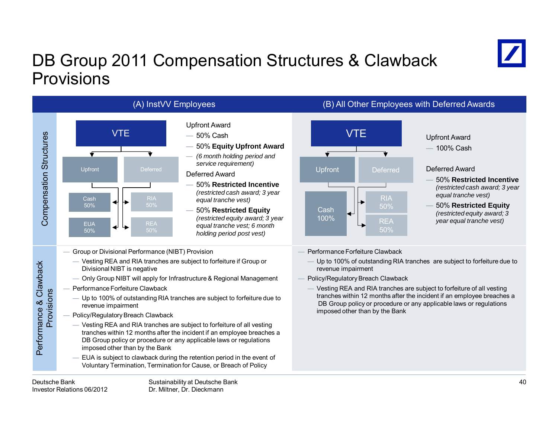# DB Group 2011 Compensation Structures & Clawback Provisions





- Group or Divisional Performance (NIBT) Provision
	- Vesting REA and RIA tranches are subject to forfeiture if Group or Divisional NIBT is negative
	- Only Group NIBT will apply for Infrastructure & Regional Management
- Performance Forfeiture Clawback
	- Up to 100% of outstanding RIA tranches are subject to forfeiture due to revenue impairment
- Policy/Regulatory Breach Clawback
	- Vesting REA and RIA tranches are subject to forfeiture of all vesting tranches within 12 months after the incident if an employee breaches a DB Group policy or procedure or any applicable laws or regulations imposed other than by the Bank
	- EUA is subject to clawback during the retention period in the event of Voluntary Termination, Termination for Cause, or Breach of Policy



### 100% Cash

#### Deferred Award

- 50% **Restricted Incentive**  *(restricted cash award; 3 year equal tranche vest)*
- 50% **Restricted Equity**  *(restricted equity award; 3 year equal tranche vest)*
- Performance Forfeiture Clawback
	- Up to 100% of outstanding RIA tranches are subject to forfeiture due to revenue impairment
- Policy/Regulatory Breach Clawback
- Vesting REA and RIA tranches are subject to forfeiture of all vesting tranches within 12 months after the incident if an employee breaches a DB Group policy or procedure or any applicable laws or regulations imposed other than by the Bank

Performance & Clawback Provisions

Performance & Clawback Provisions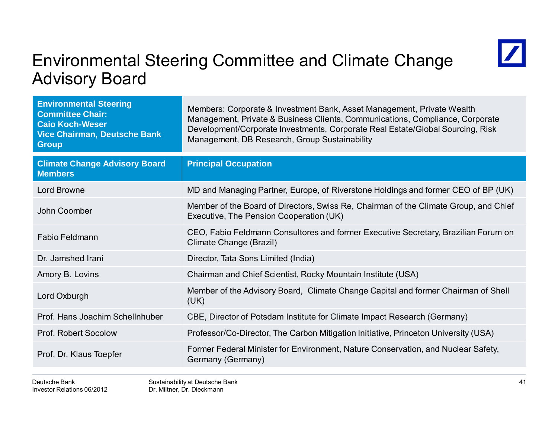### Environmental Steering Committee and Climate Change Advisory Board



| <b>Environmental Steering</b><br><b>Committee Chair:</b><br><b>Caio Koch-Weser</b><br><b>Vice Chairman, Deutsche Bank</b><br><b>Group</b> | Members: Corporate & Investment Bank, Asset Management, Private Wealth<br>Management, Private & Business Clients, Communications, Compliance, Corporate<br>Development/Corporate Investments, Corporate Real Estate/Global Sourcing, Risk<br>Management, DB Research, Group Sustainability |  |  |
|-------------------------------------------------------------------------------------------------------------------------------------------|--------------------------------------------------------------------------------------------------------------------------------------------------------------------------------------------------------------------------------------------------------------------------------------------|--|--|
| <b>Climate Change Advisory Board</b><br><b>Members</b>                                                                                    | <b>Principal Occupation</b>                                                                                                                                                                                                                                                                |  |  |
| <b>Lord Browne</b>                                                                                                                        | MD and Managing Partner, Europe, of Riverstone Holdings and former CEO of BP (UK)                                                                                                                                                                                                          |  |  |
| John Coomber                                                                                                                              | Member of the Board of Directors, Swiss Re, Chairman of the Climate Group, and Chief<br>Executive, The Pension Cooperation (UK)                                                                                                                                                            |  |  |
| <b>Fabio Feldmann</b>                                                                                                                     | CEO, Fabio Feldmann Consultores and former Executive Secretary, Brazilian Forum on<br>Climate Change (Brazil)                                                                                                                                                                              |  |  |
| Dr. Jamshed Irani                                                                                                                         | Director, Tata Sons Limited (India)                                                                                                                                                                                                                                                        |  |  |
| Amory B. Lovins                                                                                                                           | Chairman and Chief Scientist, Rocky Mountain Institute (USA)                                                                                                                                                                                                                               |  |  |
| Lord Oxburgh                                                                                                                              | Member of the Advisory Board, Climate Change Capital and former Chairman of Shell<br>(UK)                                                                                                                                                                                                  |  |  |
| Prof. Hans Joachim Schellnhuber                                                                                                           | CBE, Director of Potsdam Institute for Climate Impact Research (Germany)                                                                                                                                                                                                                   |  |  |
| <b>Prof. Robert Socolow</b>                                                                                                               | Professor/Co-Director, The Carbon Mitigation Initiative, Princeton University (USA)                                                                                                                                                                                                        |  |  |
| Prof. Dr. Klaus Toepfer                                                                                                                   | Former Federal Minister for Environment, Nature Conservation, and Nuclear Safety,<br>Germany (Germany)                                                                                                                                                                                     |  |  |
|                                                                                                                                           |                                                                                                                                                                                                                                                                                            |  |  |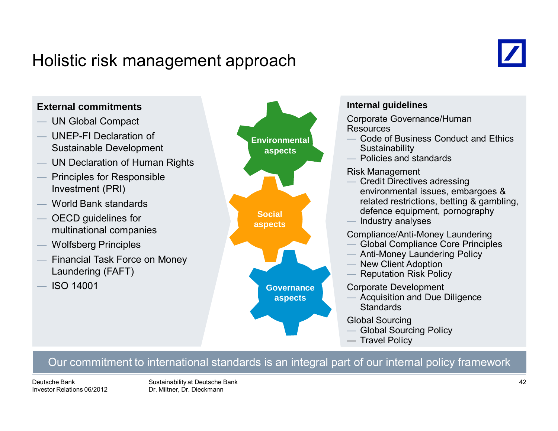### Holistic risk management approach





#### Our commitment to international standards is an integral part of our internal policy framework

Deutsche BankInvestor Relations 06/2012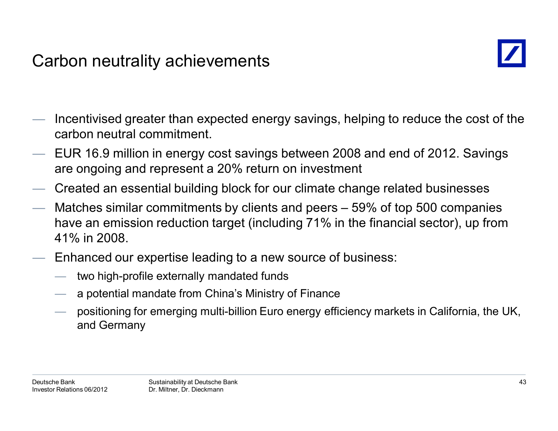### Carbon neutrality achievements



- Incentivised greater than expected energy savings, helping to reduce the cost of the carbon neutral commitment.
- EUR 16.9 million in energy cost savings between 2008 and end of 2012. Savings are ongoing and represent a 20% return on investment
- Created an essential building block for our climate change related businesses
- Matches similar commitments by clients and peers 59% of top 500 companies have an emission reduction target (including 71% in the financial sector), up from 41% in 2008.
- Enhanced our expertise leading to a new source of business:
	- two high-profile externally mandated funds
	- a potential mandate from China's Ministry of Finance
	- positioning for emerging multi-billion Euro energy efficiency markets in California, the UK, and Germany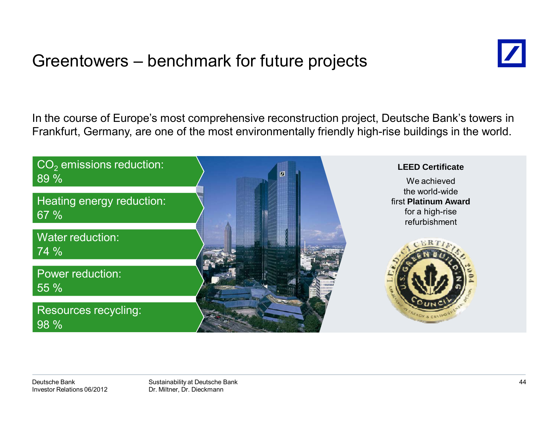### Greentowers – benchmark for future projects



In the course of Europe's most comprehensive reconstruction project, Deutsche Bank's towers in Frankfurt, Germany, are one of the most environmentally friendly high-rise buildings in the world.

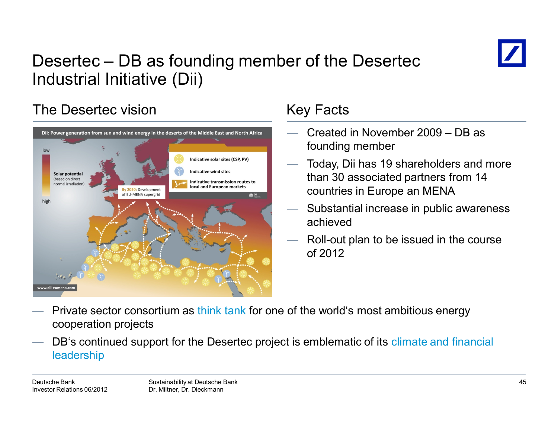

# Desertec – DB as founding member of the Desertec Industrial Initiative (Dii)

### The Desertec vision



### Key Facts

- Created in November 2009 DB as founding member
- Today, Dii has 19 shareholders and more than 30 associated partners from 14 countries in Europe an MENA
- Substantial increase in public awareness achieved
- Roll-out plan to be issued in the course of 2012

- Private sector consortium as think tank for one of the world's most ambitious energy cooperation projects
- DB's continued support for the Desertec project is emblematic of its climate and financial leadership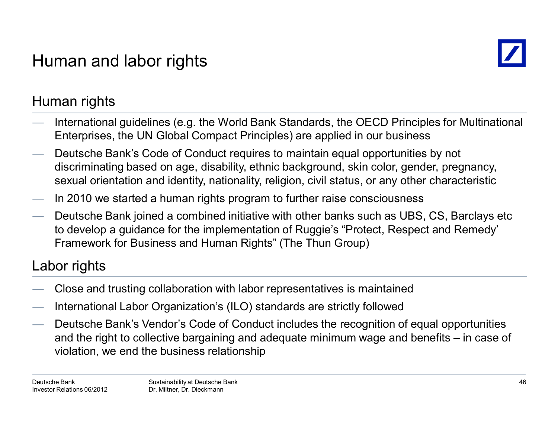# Human and labor rights



### Human rights

- International guidelines (e.g. the World Bank Standards, the OECD Principles for Multinational Enterprises, the UN Global Compact Principles) are applied in our business
- Deutsche Bank's Code of Conduct requires to maintain equal opportunities by not discriminating based on age, disability, ethnic background, skin color, gender, pregnancy, sexual orientation and identity, nationality, religion, civil status, or any other characteristic
- In 2010 we started a human rights program to further raise consciousness
- Deutsche Bank joined a combined initiative with other banks such as UBS, CS, Barclays etc to develop a guidance for the implementation of Ruggie's "Protect, Respect and Remedy' Framework for Business and Human Rights" (The Thun Group)

### Labor rights

- Close and trusting collaboration with labor representatives is maintained
- International Labor Organization's (ILO) standards are strictly followed
- Deutsche Bank's Vendor's Code of Conduct includes the recognition of equal opportunities and the right to collective bargaining and adequate minimum wage and benefits – in case of violation, we end the business relationship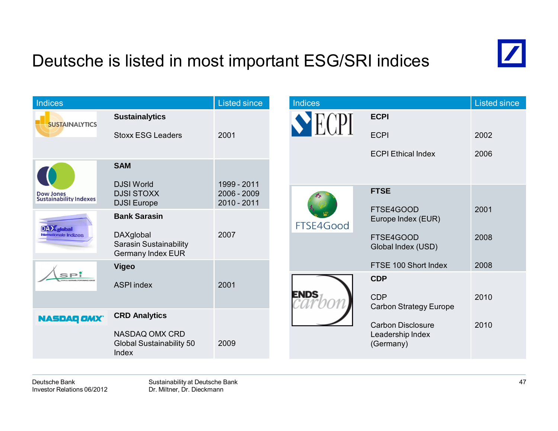# Deutsche is listed in most important ESG/SRI indices



| Indices                                           |                                                                 | <b>Listed since</b>                         |  | <b>Indices</b> |                                             | Listed since |
|---------------------------------------------------|-----------------------------------------------------------------|---------------------------------------------|--|----------------|---------------------------------------------|--------------|
| <b>SUSTAINALYTICS</b>                             | <b>Sustainalytics</b>                                           |                                             |  |                | <b>ECPI</b>                                 |              |
|                                                   | <b>Stoxx ESG Leaders</b>                                        | 2001                                        |  |                | <b>ECPI</b>                                 | 2002         |
|                                                   |                                                                 |                                             |  |                | <b>ECPI Ethical Index</b>                   | 2006         |
|                                                   | <b>SAM</b>                                                      |                                             |  |                |                                             |              |
| <b>Dow Jones</b><br><b>Sustainability Indexes</b> | <b>DJSI World</b><br><b>DJSI STOXX</b><br><b>DJSI</b> Europe    | 1999 - 2011<br>$2006 - 2009$<br>2010 - 2011 |  |                | <b>FTSE</b>                                 |              |
| <b>DAX</b> dobal<br><b>Internationale Indizes</b> | <b>Bank Sarasin</b>                                             |                                             |  | FTSE4Good      | FTSE4GOOD<br>Europe Index (EUR)             | 2001         |
|                                                   | DAXglobal<br>Sarasin Sustainability<br><b>Germany Index EUR</b> | 2007                                        |  |                | FTSE4GOOD<br>Global Index (USD)             | 2008         |
|                                                   | <b>Vigeo</b>                                                    | 2001                                        |  |                | FTSE 100 Short Index                        | 2008         |
| SPİ                                               | <b>ASPI index</b>                                               |                                             |  |                | <b>CDP</b>                                  |              |
|                                                   |                                                                 |                                             |  | <b>ENDS</b>    | <b>CDP</b><br><b>Carbon Strategy Europe</b> | 2010         |
| <b>NASDAQ OMX</b>                                 | <b>CRD Analytics</b>                                            |                                             |  |                | <b>Carbon Disclosure</b>                    | 2010         |
|                                                   | NASDAQ OMX CRD<br>Global Sustainability 50<br>Index             | 2009                                        |  |                | Leadership Index<br>(Germany)               |              |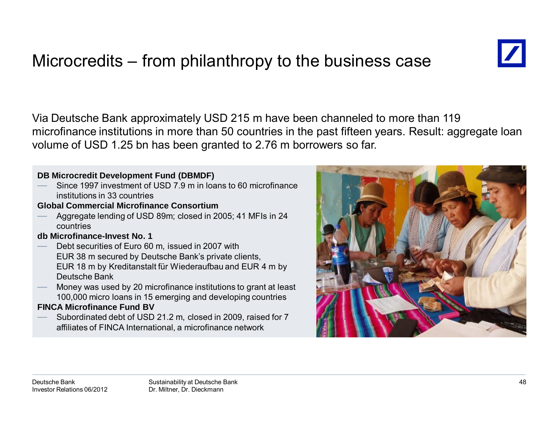# Microcredits – from philanthropy to the business case



Via Deutsche Bank approximately USD 215 m have been channeled to more than 119 microfinance institutions in more than 50 countries in the past fifteen years. Result: aggregate loan volume of USD 1.25 bn has been granted to 2.76 m borrowers so far.

#### **DB Microcredit Development Fund (DBMDF)**

 Since 1997 investment of USD 7.9 m in loans to 60 microfinance institutions in 33 countries

#### **Global Commercial Microfinance Consortium**

 Aggregate lending of USD 89m; closed in 2005; 41 MFIs in 24 countries

#### **db Microfinance-Invest No. 1**

- Debt securities of Euro 60 m, issued in 2007 with EUR 38 m secured by Deutsche Bank's private clients, EUR 18 m by Kreditanstalt für Wiederaufbau and EUR 4 m by Deutsche Bank
- Money was used by 20 microfinance institutions to grant at least 100,000 micro loans in 15 emerging and developing countries

#### **FINCA Microfinance Fund BV**

 Subordinated debt of USD 21.2 m, closed in 2009, raised for 7 affiliates of FINCA International, a microfinance network

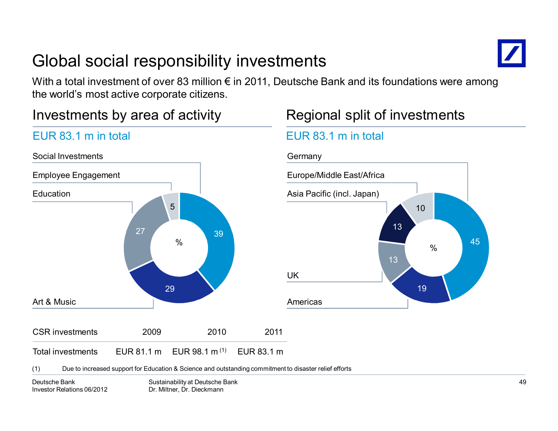# Global social responsibility investments



With a total investment of over 83 million  $\epsilon$  in 2011, Deutsche Bank and its foundations were among the world's most active corporate citizens.

(1) EUR 83.1 m

### Investments by area of activity

EUR 83.1 m in total

### 3929275CSR investments 2009 2010 2011%Social InvestmentsEmployee Engagement **Education** Art & Music

Total investments EUR 81.1 m EUR 98.1 m

### Regional split of investments

### EUR 83.1 m in total



(1) Due to increased support for Education & Science and outstanding commitment to disaster relief efforts